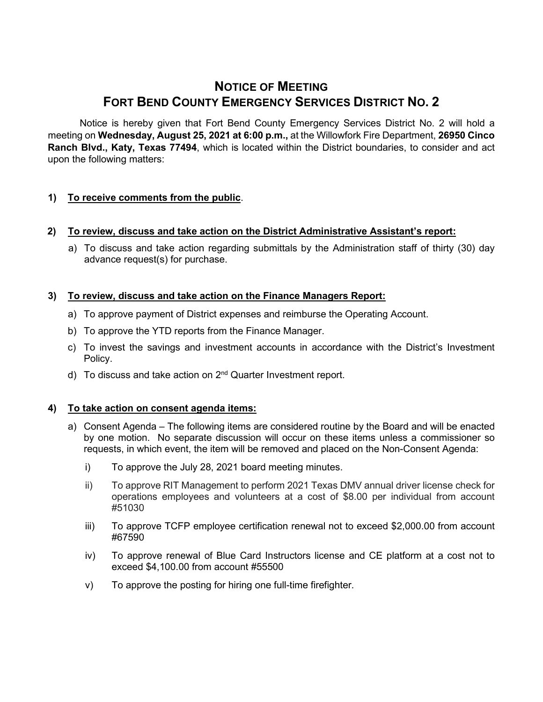# **NOTICE OF MEETING FORT BEND COUNTY EMERGENCY SERVICES DISTRICT NO. 2**

Notice is hereby given that Fort Bend County Emergency Services District No. 2 will hold a meeting on **Wednesday, August 25, 2021 at 6:00 p.m.,** at the Willowfork Fire Department, **26950 Cinco Ranch Blvd., Katy, Texas 77494**, which is located within the District boundaries, to consider and act upon the following matters:

# **1) To receive comments from the public**.

## **2) To review, discuss and take action on the District Administrative Assistant's report:**

a) To discuss and take action regarding submittals by the Administration staff of thirty (30) day advance request(s) for purchase.

# **3) To review, discuss and take action on the Finance Managers Report:**

- a) To approve payment of District expenses and reimburse the Operating Account.
- b) To approve the YTD reports from the Finance Manager.
- c) To invest the savings and investment accounts in accordance with the District's Investment Policy.
- d) To discuss and take action on 2<sup>nd</sup> Quarter Investment report.

## **4) To take action on consent agenda items:**

- a) Consent Agenda The following items are considered routine by the Board and will be enacted by one motion. No separate discussion will occur on these items unless a commissioner so requests, in which event, the item will be removed and placed on the Non-Consent Agenda:
	- i) To approve the July 28, 2021 board meeting minutes.
	- ii) To approve RIT Management to perform 2021 Texas DMV annual driver license check for operations employees and volunteers at a cost of \$8.00 per individual from account #51030
	- iii) To approve TCFP employee certification renewal not to exceed \$2,000.00 from account #67590
	- iv) To approve renewal of Blue Card Instructors license and CE platform at a cost not to exceed \$4,100.00 from account #55500
	- v) To approve the posting for hiring one full-time firefighter.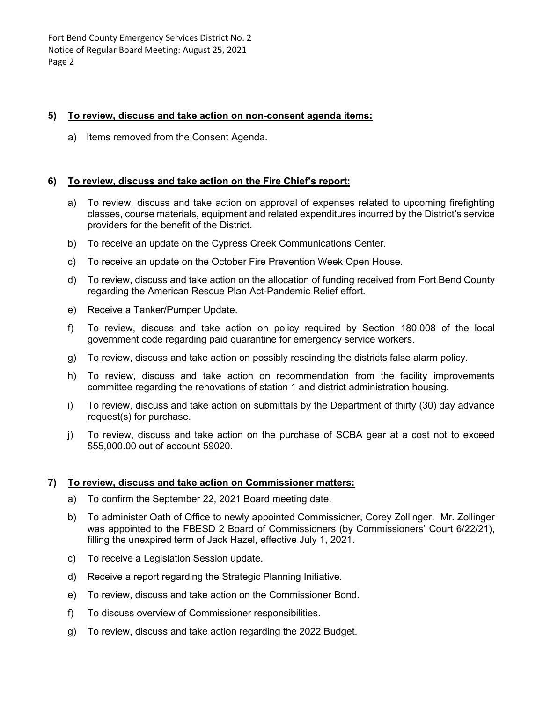Fort Bend County Emergency Services District No. 2 Notice of Regular Board Meeting: August 25, 2021 Page 2

#### **5) To review, discuss and take action on non-consent agenda items:**

a) Items removed from the Consent Agenda.

## **6) To review, discuss and take action on the Fire Chief's report:**

- a) To review, discuss and take action on approval of expenses related to upcoming firefighting classes, course materials, equipment and related expenditures incurred by the District's service providers for the benefit of the District.
- b) To receive an update on the Cypress Creek Communications Center.
- c) To receive an update on the October Fire Prevention Week Open House.
- d) To review, discuss and take action on the allocation of funding received from Fort Bend County regarding the American Rescue Plan Act-Pandemic Relief effort.
- e) Receive a Tanker/Pumper Update.
- f) To review, discuss and take action on policy required by Section 180.008 of the local government code regarding paid quarantine for emergency service workers.
- g) To review, discuss and take action on possibly rescinding the districts false alarm policy.
- h) To review, discuss and take action on recommendation from the facility improvements committee regarding the renovations of station 1 and district administration housing.
- i) To review, discuss and take action on submittals by the Department of thirty (30) day advance request(s) for purchase.
- j) To review, discuss and take action on the purchase of SCBA gear at a cost not to exceed \$55,000.00 out of account 59020.

#### **7) To review, discuss and take action on Commissioner matters:**

- a) To confirm the September 22, 2021 Board meeting date.
- b) To administer Oath of Office to newly appointed Commissioner, Corey Zollinger. Mr. Zollinger was appointed to the FBESD 2 Board of Commissioners (by Commissioners' Court 6/22/21), filling the unexpired term of Jack Hazel, effective July 1, 2021.
- c) To receive a Legislation Session update.
- d) Receive a report regarding the Strategic Planning Initiative.
- e) To review, discuss and take action on the Commissioner Bond.
- f) To discuss overview of Commissioner responsibilities.
- g) To review, discuss and take action regarding the 2022 Budget.